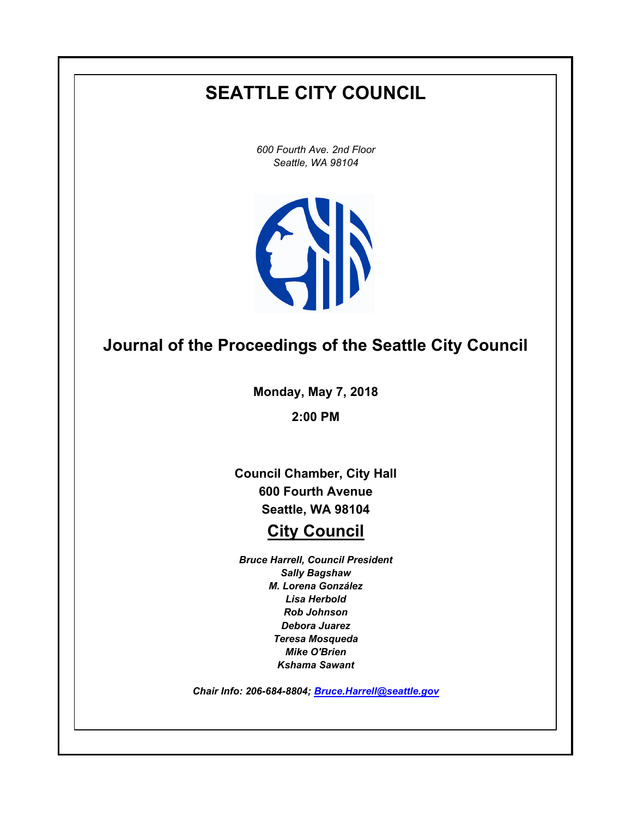# **SEATTLE CITY COUNCIL**

*600 Fourth Ave. 2nd Floor Seattle, WA 98104*



## **Journal of the Proceedings of the Seattle City Council**

**Monday, May 7, 2018**

**2:00 PM**

**Council Chamber, City Hall 600 Fourth Avenue Seattle, WA 98104**

## **City Council**

*Bruce Harrell, Council President Sally Bagshaw M. Lorena González Lisa Herbold Rob Johnson Debora Juarez Teresa Mosqueda Mike O'Brien Kshama Sawant*

*Chair Info: 206-684-8804; [Bruce.Harrell@seattle.gov](mailto:Bruce.Harrell@seattle.gov)*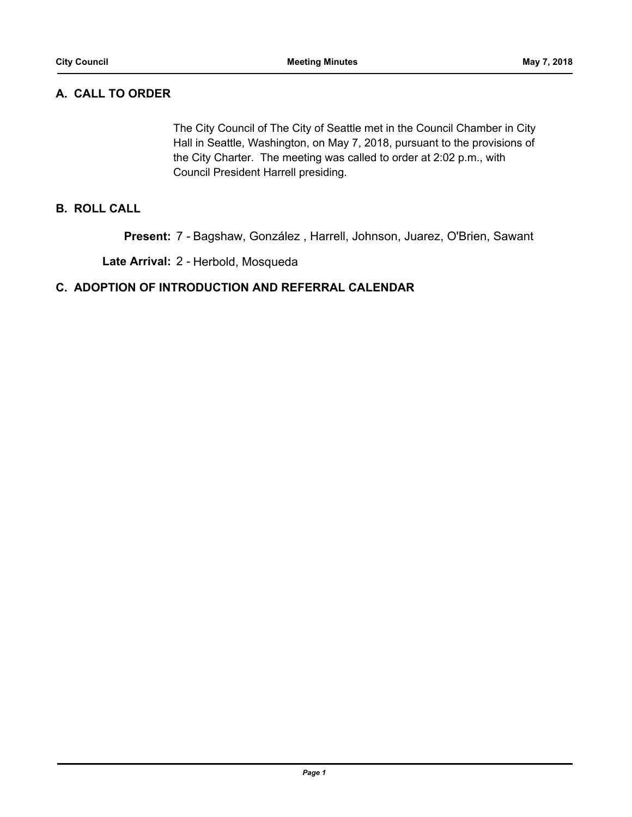## **A. CALL TO ORDER**

The City Council of The City of Seattle met in the Council Chamber in City Hall in Seattle, Washington, on May 7, 2018, pursuant to the provisions of the City Charter. The meeting was called to order at 2:02 p.m., with Council President Harrell presiding.

## **B. ROLL CALL**

**Present:** 7 - Bagshaw, González , Harrell, Johnson, Juarez, O'Brien, Sawant

**Late Arrival:** 2 - Herbold, Mosqueda

## **C. ADOPTION OF INTRODUCTION AND REFERRAL CALENDAR**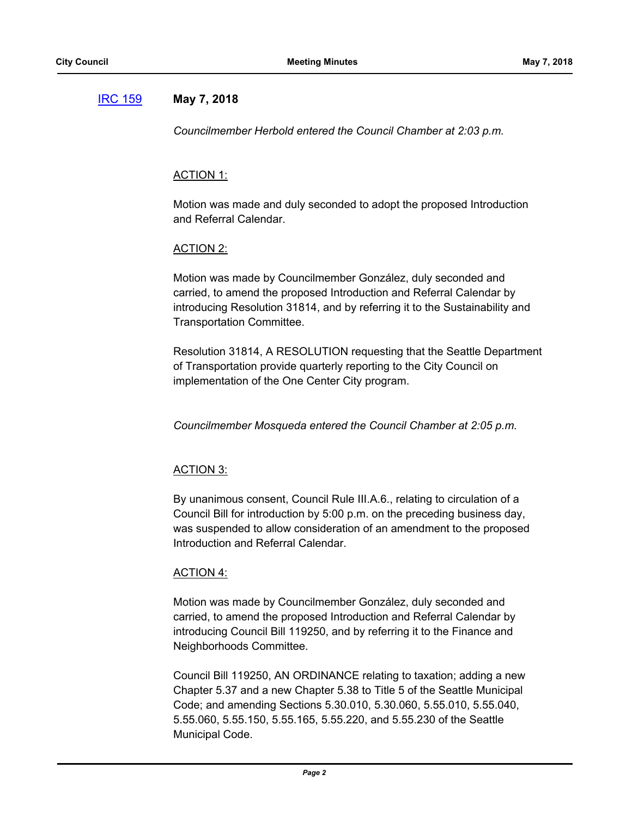## [IRC 159](http://seattle.legistar.com/gateway.aspx?m=l&id=/matter.aspx?key=7109) **May 7, 2018**

*Councilmember Herbold entered the Council Chamber at 2:03 p.m.*

## ACTION 1:

Motion was made and duly seconded to adopt the proposed Introduction and Referral Calendar.

## ACTION 2:

Motion was made by Councilmember González, duly seconded and carried, to amend the proposed Introduction and Referral Calendar by introducing Resolution 31814, and by referring it to the Sustainability and Transportation Committee.

Resolution 31814, A RESOLUTION requesting that the Seattle Department of Transportation provide quarterly reporting to the City Council on implementation of the One Center City program.

*Councilmember Mosqueda entered the Council Chamber at 2:05 p.m.*

## ACTION 3:

By unanimous consent, Council Rule III.A.6., relating to circulation of a Council Bill for introduction by 5:00 p.m. on the preceding business day, was suspended to allow consideration of an amendment to the proposed Introduction and Referral Calendar.

## ACTION 4:

Motion was made by Councilmember González, duly seconded and carried, to amend the proposed Introduction and Referral Calendar by introducing Council Bill 119250, and by referring it to the Finance and Neighborhoods Committee.

Council Bill 119250, AN ORDINANCE relating to taxation; adding a new Chapter 5.37 and a new Chapter 5.38 to Title 5 of the Seattle Municipal Code; and amending Sections 5.30.010, 5.30.060, 5.55.010, 5.55.040, 5.55.060, 5.55.150, 5.55.165, 5.55.220, and 5.55.230 of the Seattle Municipal Code.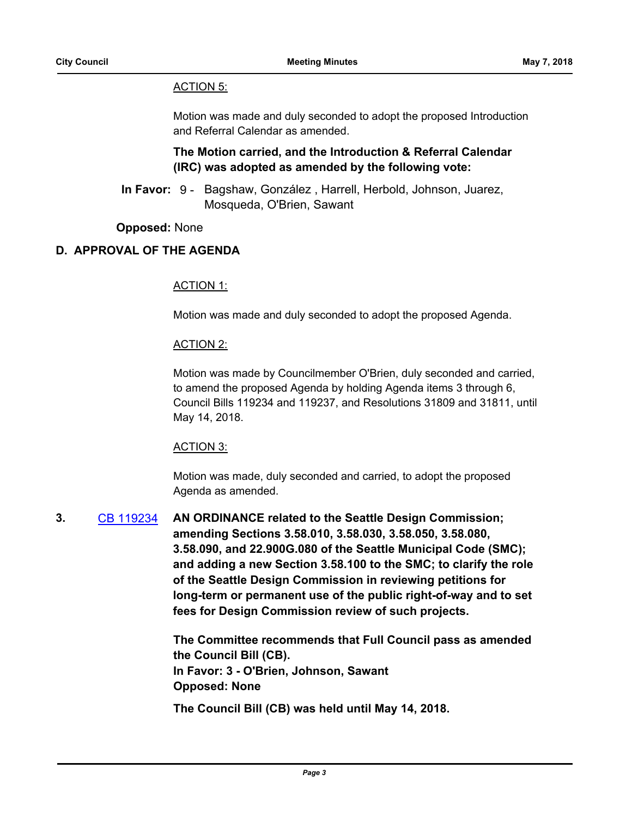### ACTION 5:

Motion was made and duly seconded to adopt the proposed Introduction and Referral Calendar as amended.

## **The Motion carried, and the Introduction & Referral Calendar (IRC) was adopted as amended by the following vote:**

In Favor: 9 - Bagshaw, González, Harrell, Herbold, Johnson, Juarez, Mosqueda, O'Brien, Sawant

## **Opposed:** None

## **D. APPROVAL OF THE AGENDA**

#### ACTION 1:

Motion was made and duly seconded to adopt the proposed Agenda.

#### ACTION 2:

Motion was made by Councilmember O'Brien, duly seconded and carried, to amend the proposed Agenda by holding Agenda items 3 through 6, Council Bills 119234 and 119237, and Resolutions 31809 and 31811, until May 14, 2018.

#### ACTION 3:

Motion was made, duly seconded and carried, to adopt the proposed Agenda as amended.

**3.** [CB 119234](http://seattle.legistar.com/gateway.aspx?m=l&id=/matter.aspx?key=7018) **AN ORDINANCE related to the Seattle Design Commission; amending Sections 3.58.010, 3.58.030, 3.58.050, 3.58.080, 3.58.090, and 22.900G.080 of the Seattle Municipal Code (SMC); and adding a new Section 3.58.100 to the SMC; to clarify the role of the Seattle Design Commission in reviewing petitions for long-term or permanent use of the public right-of-way and to set fees for Design Commission review of such projects.**

> **The Committee recommends that Full Council pass as amended the Council Bill (CB). In Favor: 3 - O'Brien, Johnson, Sawant Opposed: None**

**The Council Bill (CB) was held until May 14, 2018.**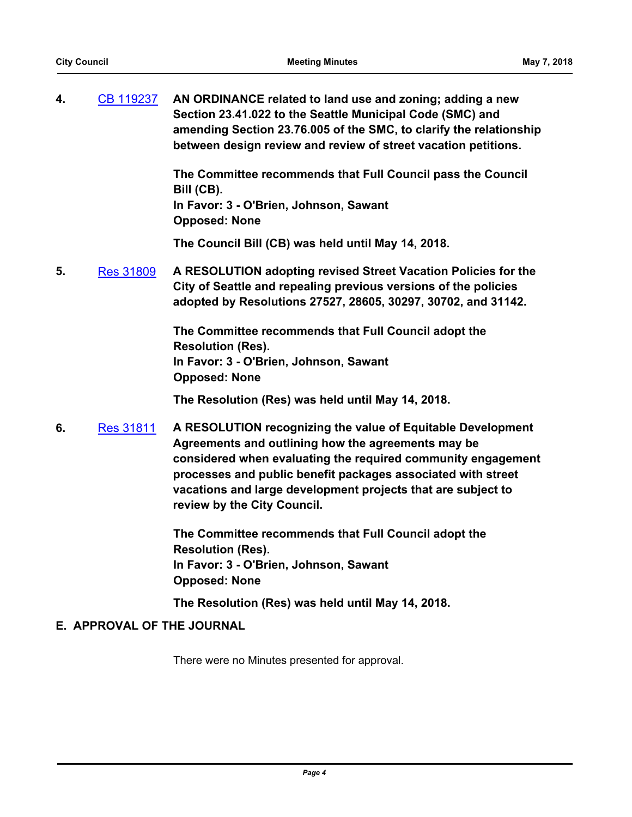**4.** [CB 119237](http://seattle.legistar.com/gateway.aspx?m=l&id=/matter.aspx?key=7011) **AN ORDINANCE related to land use and zoning; adding a new Section 23.41.022 to the Seattle Municipal Code (SMC) and amending Section 23.76.005 of the SMC, to clarify the relationship between design review and review of street vacation petitions.**

> **The Committee recommends that Full Council pass the Council Bill (CB).**

**In Favor: 3 - O'Brien, Johnson, Sawant Opposed: None**

**The Council Bill (CB) was held until May 14, 2018.**

**5.** [Res 31809](http://seattle.legistar.com/gateway.aspx?m=l&id=/matter.aspx?key=7013) **A RESOLUTION adopting revised Street Vacation Policies for the City of Seattle and repealing previous versions of the policies adopted by Resolutions 27527, 28605, 30297, 30702, and 31142.**

> **The Committee recommends that Full Council adopt the Resolution (Res). In Favor: 3 - O'Brien, Johnson, Sawant Opposed: None**

**The Resolution (Res) was held until May 14, 2018.**

**6.** [Res 31811](http://seattle.legistar.com/gateway.aspx?m=l&id=/matter.aspx?key=6983) **A RESOLUTION recognizing the value of Equitable Development Agreements and outlining how the agreements may be considered when evaluating the required community engagement processes and public benefit packages associated with street vacations and large development projects that are subject to review by the City Council.**

> **The Committee recommends that Full Council adopt the Resolution (Res). In Favor: 3 - O'Brien, Johnson, Sawant Opposed: None**

**The Resolution (Res) was held until May 14, 2018.**

## **E. APPROVAL OF THE JOURNAL**

There were no Minutes presented for approval.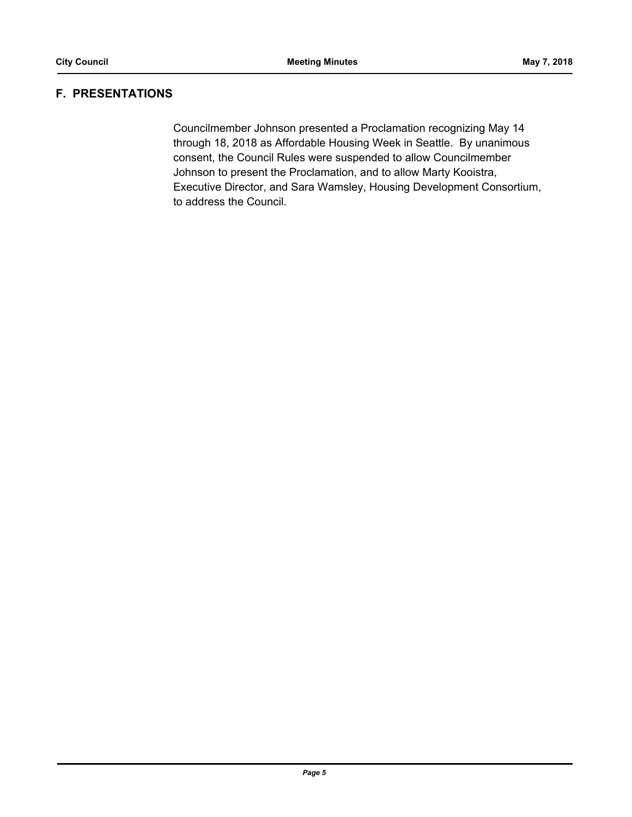## **F. PRESENTATIONS**

Councilmember Johnson presented a Proclamation recognizing May 14 through 18, 2018 as Affordable Housing Week in Seattle. By unanimous consent, the Council Rules were suspended to allow Councilmember Johnson to present the Proclamation, and to allow Marty Kooistra, Executive Director, and Sara Wamsley, Housing Development Consortium, to address the Council.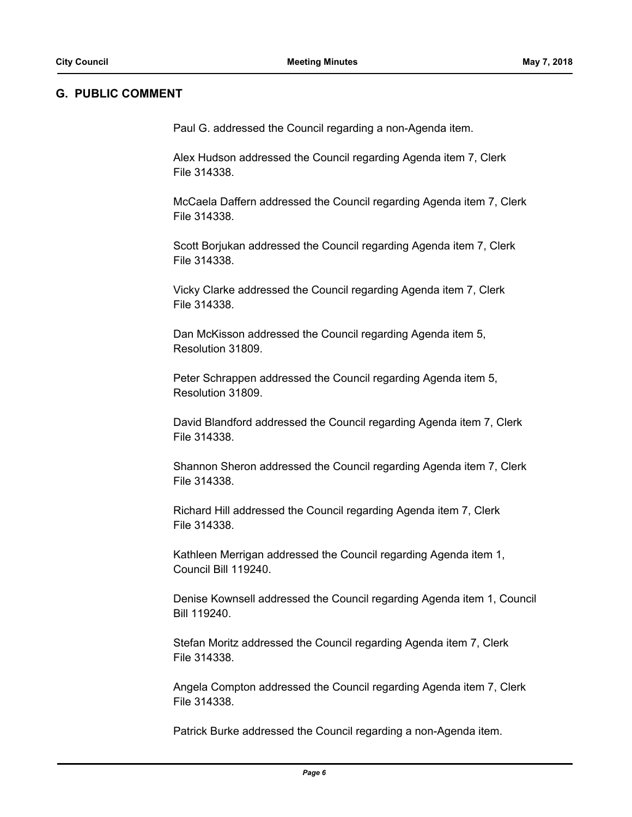#### **G. PUBLIC COMMENT**

Paul G. addressed the Council regarding a non-Agenda item.

Alex Hudson addressed the Council regarding Agenda item 7, Clerk File 314338.

McCaela Daffern addressed the Council regarding Agenda item 7, Clerk File 314338.

Scott Borjukan addressed the Council regarding Agenda item 7, Clerk File 314338.

Vicky Clarke addressed the Council regarding Agenda item 7, Clerk File 314338.

Dan McKisson addressed the Council regarding Agenda item 5, Resolution 31809.

Peter Schrappen addressed the Council regarding Agenda item 5, Resolution 31809.

David Blandford addressed the Council regarding Agenda item 7, Clerk File 314338.

Shannon Sheron addressed the Council regarding Agenda item 7, Clerk File 314338.

Richard Hill addressed the Council regarding Agenda item 7, Clerk File 314338.

Kathleen Merrigan addressed the Council regarding Agenda item 1, Council Bill 119240.

Denise Kownsell addressed the Council regarding Agenda item 1, Council Bill 119240.

Stefan Moritz addressed the Council regarding Agenda item 7, Clerk File 314338.

Angela Compton addressed the Council regarding Agenda item 7, Clerk File 314338.

Patrick Burke addressed the Council regarding a non-Agenda item.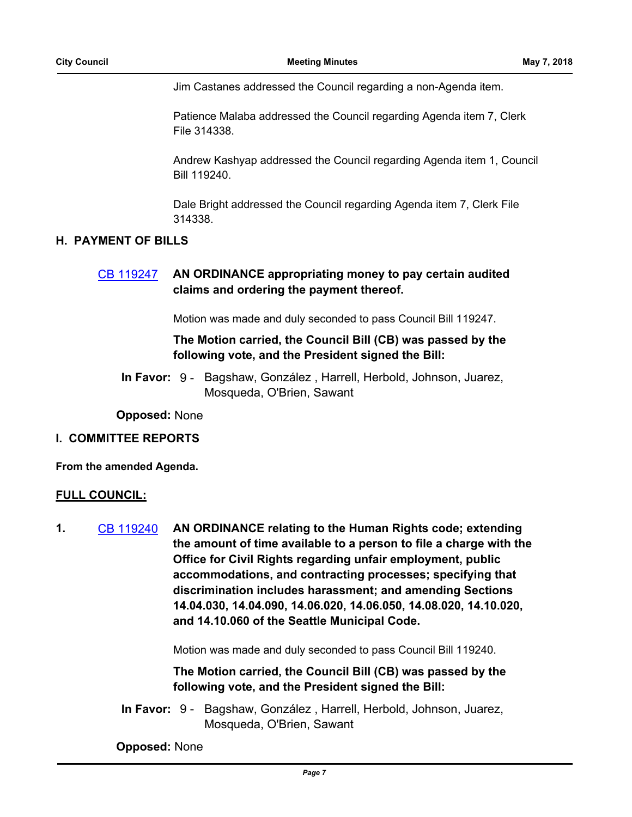Jim Castanes addressed the Council regarding a non-Agenda item.

Patience Malaba addressed the Council regarding Agenda item 7, Clerk File 314338.

Andrew Kashyap addressed the Council regarding Agenda item 1, Council Bill 119240.

Dale Bright addressed the Council regarding Agenda item 7, Clerk File 314338.

#### **H. PAYMENT OF BILLS**

## [CB 119247](http://seattle.legistar.com/gateway.aspx?m=l&id=/matter.aspx?key=7094) **AN ORDINANCE appropriating money to pay certain audited claims and ordering the payment thereof.**

Motion was made and duly seconded to pass Council Bill 119247.

## **The Motion carried, the Council Bill (CB) was passed by the following vote, and the President signed the Bill:**

In Favor: 9 - Bagshaw, González, Harrell, Herbold, Johnson, Juarez, Mosqueda, O'Brien, Sawant

**Opposed:** None

#### **I. COMMITTEE REPORTS**

**From the amended Agenda.**

#### **FULL COUNCIL:**

**1.** [CB 119240](http://seattle.legistar.com/gateway.aspx?m=l&id=/matter.aspx?key=6969) **AN ORDINANCE relating to the Human Rights code; extending the amount of time available to a person to file a charge with the Office for Civil Rights regarding unfair employment, public accommodations, and contracting processes; specifying that discrimination includes harassment; and amending Sections 14.04.030, 14.04.090, 14.06.020, 14.06.050, 14.08.020, 14.10.020, and 14.10.060 of the Seattle Municipal Code.**

Motion was made and duly seconded to pass Council Bill 119240.

**The Motion carried, the Council Bill (CB) was passed by the following vote, and the President signed the Bill:**

In Favor: 9 - Bagshaw, González, Harrell, Herbold, Johnson, Juarez, Mosqueda, O'Brien, Sawant

**Opposed:** None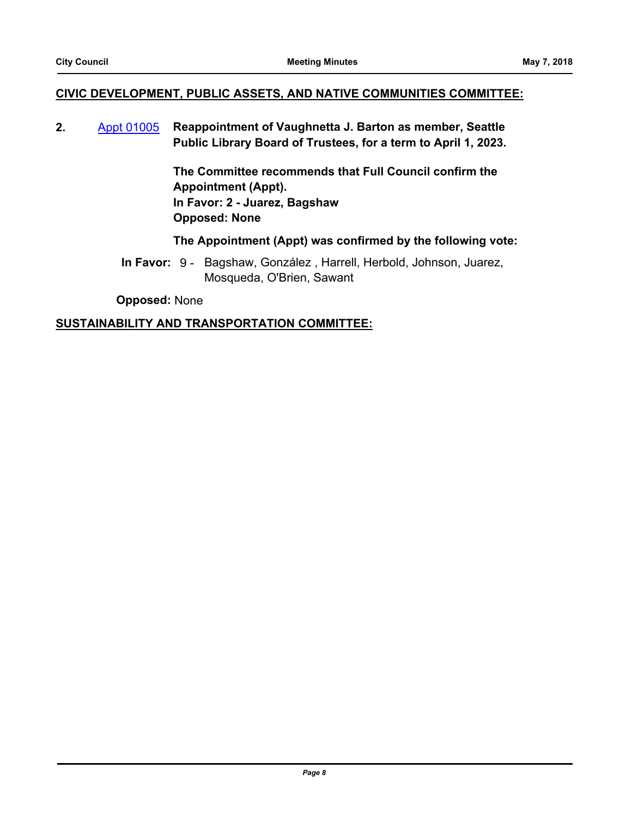### **CIVIC DEVELOPMENT, PUBLIC ASSETS, AND NATIVE COMMUNITIES COMMITTEE:**

**2.** [Appt 01005](http://seattle.legistar.com/gateway.aspx?m=l&id=/matter.aspx?key=7001) **Reappointment of Vaughnetta J. Barton as member, Seattle Public Library Board of Trustees, for a term to April 1, 2023.**

> **The Committee recommends that Full Council confirm the Appointment (Appt). In Favor: 2 - Juarez, Bagshaw Opposed: None**

#### **The Appointment (Appt) was confirmed by the following vote:**

In Favor: 9 - Bagshaw, González, Harrell, Herbold, Johnson, Juarez, Mosqueda, O'Brien, Sawant

**Opposed:** None

#### **SUSTAINABILITY AND TRANSPORTATION COMMITTEE:**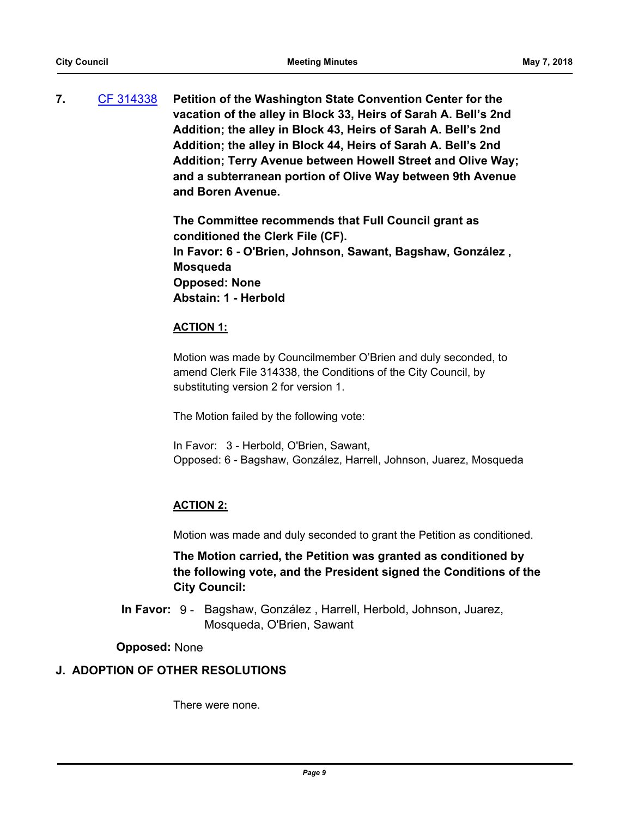**7.** [CF 314338](http://seattle.legistar.com/gateway.aspx?m=l&id=/matter.aspx?key=3525) **Petition of the Washington State Convention Center for the vacation of the alley in Block 33, Heirs of Sarah A. Bell's 2nd Addition; the alley in Block 43, Heirs of Sarah A. Bell's 2nd Addition; the alley in Block 44, Heirs of Sarah A. Bell's 2nd Addition; Terry Avenue between Howell Street and Olive Way; and a subterranean portion of Olive Way between 9th Avenue and Boren Avenue.**

> **The Committee recommends that Full Council grant as conditioned the Clerk File (CF). In Favor: 6 - O'Brien, Johnson, Sawant, Bagshaw, González , Mosqueda Opposed: None Abstain: 1 - Herbold**

## **ACTION 1:**

Motion was made by Councilmember O'Brien and duly seconded, to amend Clerk File 314338, the Conditions of the City Council, by substituting version 2 for version 1.

The Motion failed by the following vote:

In Favor: 3 - Herbold, O'Brien, Sawant, Opposed: 6 - Bagshaw, González, Harrell, Johnson, Juarez, Mosqueda

## **ACTION 2:**

Motion was made and duly seconded to grant the Petition as conditioned.

## **The Motion carried, the Petition was granted as conditioned by the following vote, and the President signed the Conditions of the City Council:**

In Favor: 9 - Bagshaw, González, Harrell, Herbold, Johnson, Juarez, Mosqueda, O'Brien, Sawant

## **Opposed:** None

## **J. ADOPTION OF OTHER RESOLUTIONS**

There were none.